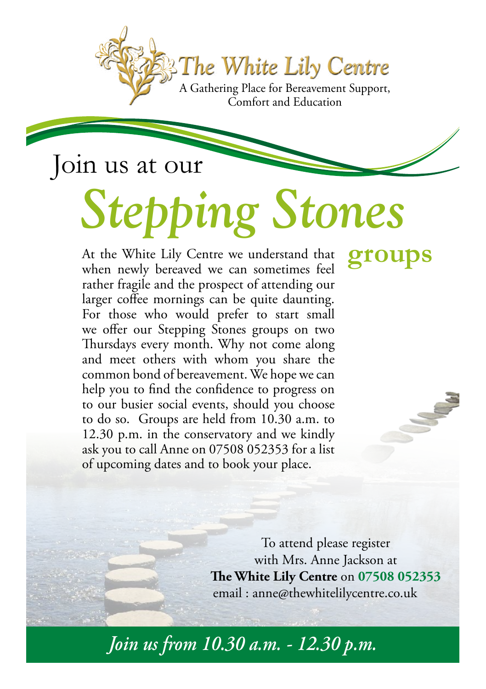*The White Lily Centre* A Gathering Place for Bereavement Support,

*Stepping Stones*

Comfort and Education

## Join us at our

At the White Lily Centre we understand that **groups** when newly bereaved we can sometimes feel rather fragile and the prospect of attending our larger coffee mornings can be quite daunting. For those who would prefer to start small we offer our Stepping Stones groups on two Thursdays every month. Why not come along and meet others with whom you share the common bond of bereavement. We hope we can help you to find the confidence to progress on to our busier social events, should you choose to do so. Groups are held from 10.30 a.m. to 12.30 p.m. in the conservatory and we kindly ask you to call Anne on 07508 052353 for a list of upcoming dates and to book your place.

To attend please register with Mrs. Anne Jackson at **The White Lily Centre** on **07508 052353** email : anne@thewhitelilycentre.co.uk

*Join us from 10.30 a.m. - 12.30 p.m.*